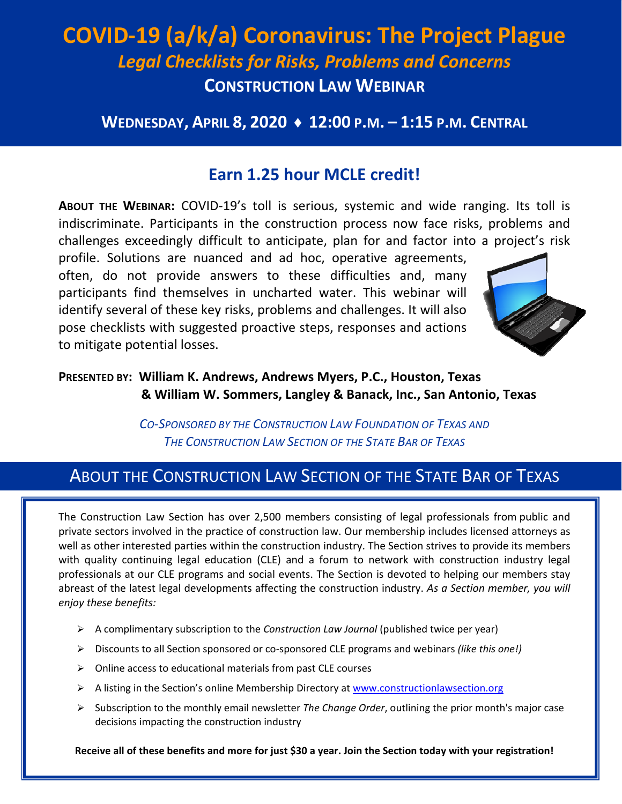# **COVID-19 (a/k/a) Coronavirus: The Project Plague**  *Legal Checklists for Risks, Problems and Concerns* **CONSTRUCTION LAW WEBINAR**

### **WEDNESDAY, APRIL 8, 2020 ♦ 12:00 P.M. – 1:15 P.M. CENTRAL**

### **Earn 1.25 hour MCLE credit!**

**ABOUT THE WEBINAR:** COVID-19's toll is serious, systemic and wide ranging. Its toll is indiscriminate. Participants in the construction process now face risks, problems and challenges exceedingly difficult to anticipate, plan for and factor into a project's risk

profile. Solutions are nuanced and ad hoc, operative agreements, often, do not provide answers to these difficulties and, many participants find themselves in uncharted water. This webinar will identify several of these key risks, problems and challenges. It will also pose checklists with suggested proactive steps, responses and actions to mitigate potential losses.



### **PRESENTED BY: William K. Andrews, Andrews Myers, P.C., Houston, Texas & William W. Sommers, Langley & Banack, Inc., San Antonio, Texas**

*CO-SPONSORED BY THE CONSTRUCTION LAW FOUNDATION OF TEXAS AND THE CONSTRUCTION LAW SECTION OF THE STATE BAR OF TEXAS*

## ABOUT THE CONSTRUCTION LAW SECTION OF THE STATE BAR OF TEXAS

The Construction Law Section has over 2,500 members consisting of legal professionals from public and private sectors involved in the practice of construction law. Our membership includes licensed attorneys as well as other interested parties within the construction industry. The Section strives to provide its members with quality continuing legal education (CLE) and a forum to network with construction industry legal professionals at our CLE programs and social events. The Section is devoted to helping our members stay abreast of the latest legal developments affecting the construction industry. *As a Section member, you will enjoy these benefits:* 

- ¾ A complimentary subscription to the *Construction Law Journal* (published twice per year)
- ¾ Discounts to all Section sponsored or co-sponsored CLE programs and webinars *(like this one!)*
- $\triangleright$  Online access to educational materials from past CLE courses
- $\triangleright$  A listing in the Section's online Membership Directory at www.constructionlawsection.org
- ¾ Subscription to the monthly email newsletter *The Change Order*, outlining the prior month's major case decisions impacting the construction industry

**Receive all of these benefits and more for just \$30 a year. Join the Section today with your registration!**